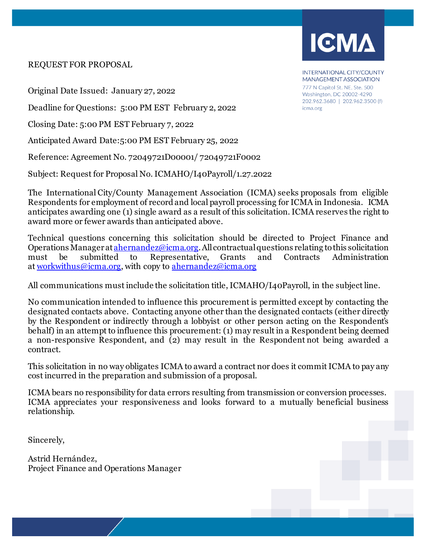#### REQUEST FOR PROPOSAL

Original Date Issued: January 27, 2022

Deadline for Questions: 5:00 PM EST February 2, 2022

Closing Date: 5:00 PM EST February 7, 2022

Anticipated Award Date:5:00 PM EST February 25, 2022

Reference: Agreement No. 72049721D00001/ 72049721F0002

Subject: Request for Proposal No. ICMAHO/I40Payroll/1.27.2022

The International City/County Management Association (ICMA) seeks proposals from eligible Respondents for employment of record and local payroll processing for ICMA in Indonesia. ICMA anticipates awarding one (1) single award as a result of this solicitation. ICMA reserves the right to award more or fewer awards than anticipated above.

Technical questions concerning this solicitation should be directed to Project Finance and Operations Managera[t ahernandez@icma.org.](mailto:crenderos@icma.org)All contractual questions relating to this solicitation must be submitted to Representative, Grants and Contracts Administration at [workwithus@icma.org,](mailto:workwithus@icma.org) with copy to [ahernandez@icma.org](mailto:ahernandez@icma.org)

All communications must include the solicitation title, ICMAHO/I40Payroll, in the subject line.

No communication intended to influence this procurement is permitted except by contacting the designated contacts above. Contacting anyone other than the designated contacts (either directly by the Respondent or indirectly through a lobbyist or other person acting on the Respondent's behalf) in an attempt to influence this procurement: (1) may result in a Respondent being deemed a non-responsive Respondent, and (2) may result in the Respondent not being awarded a contract.

This solicitation in no way obligates ICMA to award a contract nor does it commit ICMA to pay any cost incurred in the preparation and submission of a proposal.

ICMA bears no responsibility for data errors resulting from transmission or conversion processes. ICMA appreciates your responsiveness and looks forward to a mutually beneficial business relationship.

Sincerely,

Astrid Hernández, Project Finance and Operations Manager INTERNATIONAL CITY/COUNTY MANAGEMENT ASSOCIATION 777 N Capitol St. NE, Ste. 500 Washington, DC 20002-4290 202.962.3680 | 202.962.3500 (f)

icma.org

**IGMA**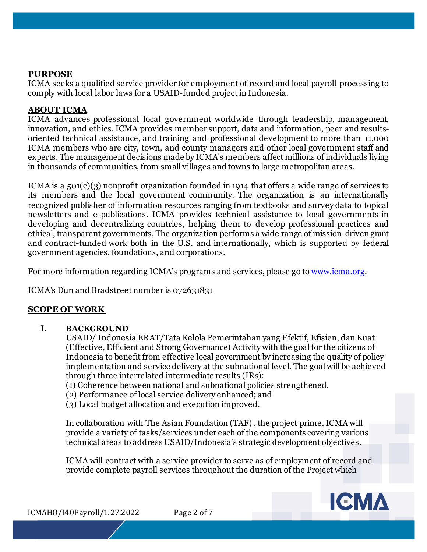### **PURPOSE**

ICMA seeks a qualified service provider for employment of record and local payroll processing to comply with local labor laws for a USAID-funded project in Indonesia.

### **ABOUT ICMA**

ICMA advances professional local government worldwide through leadership, management, innovation, and ethics. ICMA provides member support, data and information, peer and resultsoriented technical assistance, and training and professional development to more than 11,000 ICMA members who are city, town, and county managers and other local government staff and experts. The management decisions made by ICMA's members affect millions of individuals living in thousands of communities, from small villages and towns to large metropolitan areas.

ICMA is a 501(c)(3) nonprofit organization founded in 1914 that offers a wide range of services to its members and the local government community. The organization is an internationally recognized publisher of information resources ranging from textbooks and survey data to topical newsletters and e-publications. ICMA provides technical assistance to local governments in developing and decentralizing countries, helping them to develop professional practices and ethical, transparent governments. The organization performs a wide range of mission-driven grant and contract-funded work both in the U.S. and internationally, which is supported by federal government agencies, foundations, and corporations.

For more information regarding ICMA's programs and services, please go to [www.icma.org.](http://www.icma.org/)

ICMA's Dun and Bradstreet number is 072631831

### **SCOPE OF WORK**

### I. **BACKGROUND**

USAID/ Indonesia ERAT/Tata Kelola Pemerintahan yang Efektif, Efisien, dan Kuat (Effective, Efficient and Strong Governance) Activity with the goal for the citizens of Indonesia to benefit from effective local government by increasing the quality of policy implementation and service delivery at the subnational level. The goal will be achieved through three interrelated intermediate results (IRs):

- (1) Coherence between national and subnational policies strengthened.
- (2) Performance of local service delivery enhanced; and
- (3) Local budget allocation and execution improved.

In collaboration with The Asian Foundation (TAF) , the project prime, ICMA will provide a variety of tasks/services under each of the components covering various technical areas to address USAID/Indonesia's strategic development objectives.

ICMA will contract with a service provider to serve as of employment of record and provide complete payroll services throughout the duration of the Project which



ICMAHO/I40Payroll/1.27.2022 Page 2 of 7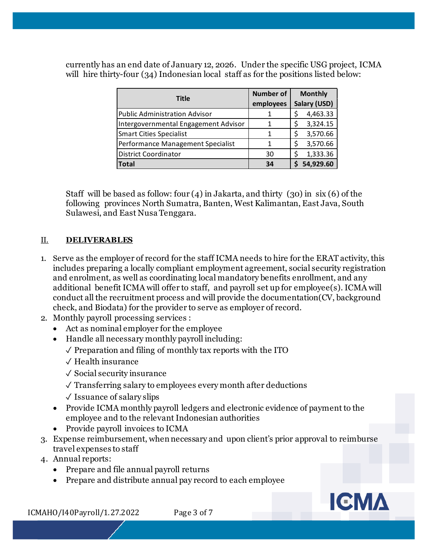currently has an end date of January 12, 2026. Under the specific USG project, ICMA will hire thirty-four (34) Indonesian local staff as for the positions listed below:

| <b>Title</b>                         | <b>Number of</b> | <b>Monthly</b> |           |
|--------------------------------------|------------------|----------------|-----------|
|                                      | employees        | Salary (USD)   |           |
| <b>Public Administration Advisor</b> |                  |                | 4,463.33  |
| Intergovernmental Engagement Advisor | 1                |                | 3,324.15  |
| <b>Smart Cities Specialist</b>       |                  |                | 3,570.66  |
| Performance Management Specialist    | 1                |                | 3,570.66  |
| <b>District Coordinator</b>          | 30               |                | 1,333.36  |
| Total                                | 34               |                | 54,929.60 |

Staff will be based as follow: four  $(4)$  in Jakarta, and thirty  $(30)$  in six  $(6)$  of the following provinces North Sumatra, Banten, West Kalimantan, East Java, South Sulawesi, and East Nusa Tenggara.

## II. **DELIVERABLES**

- 1. Serve as the employer of record for the staff ICMA needs to hire for the ERAT activity, this includes preparing a locally compliant employment agreement, social security registration and enrolment, as well as coordinating local mandatory benefits enrollment, and any additional benefit ICMA will offer to staff, and payroll set up for employee(s). ICMA will conduct all the recruitment process and will provide the documentation(CV, background check, and Biodata) for the provider to serve as employer of record.
- 2. Monthly payroll processing services :
	- Act as nominal employer for the employee
	- Handle all necessary monthly payroll including:
		- $\sqrt{\ }$  Preparation and filing of monthly tax reports with the ITO
		- ✓ Health insurance
		- ✓ Social security insurance
		- ✓ Transferring salary to employees every month after deductions
		- $\sqrt{\ }$  Issuance of salary slips
	- Provide ICMA monthly payroll ledgers and electronic evidence of payment to the employee and to the relevant Indonesian authorities
	- Provide payroll invoices to ICMA
- 3. Expense reimbursement, when necessary and upon client's prior approval to reimburse travel expenses to staff
- 4. Annual reports:
	- Prepare and file annual payroll returns
	- Prepare and distribute annual pay record to each employee



ICMAHO/I40Payroll/1.27.2022 Page 3 of 7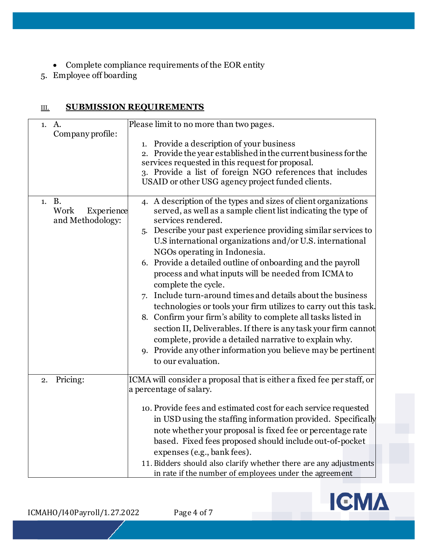- Complete compliance requirements of the EOR entity
- 5. Employee off boarding

# III. **SUBMISSION REQUIREMENTS**

| 1. A.                                           | Please limit to no more than two pages.                                                                                                                                                                                                                                                                                                                                                                                                                                                                                                                                                                                                                                                                                                                                                                                                                                                      |
|-------------------------------------------------|----------------------------------------------------------------------------------------------------------------------------------------------------------------------------------------------------------------------------------------------------------------------------------------------------------------------------------------------------------------------------------------------------------------------------------------------------------------------------------------------------------------------------------------------------------------------------------------------------------------------------------------------------------------------------------------------------------------------------------------------------------------------------------------------------------------------------------------------------------------------------------------------|
| Company profile:                                | 1. Provide a description of your business<br>2. Provide the year established in the current business for the<br>services requested in this request for proposal.<br>3. Provide a list of foreign NGO references that includes<br>USAID or other USG agency project funded clients.                                                                                                                                                                                                                                                                                                                                                                                                                                                                                                                                                                                                           |
| 1. B.<br>Work<br>Experience<br>and Methodology: | 4. A description of the types and sizes of client organizations<br>served, as well as a sample client list indicating the type of<br>services rendered.<br>5. Describe your past experience providing similar services to<br>U.S international organizations and/or U.S. international<br>NGOs operating in Indonesia.<br>6. Provide a detailed outline of onboarding and the payroll<br>process and what inputs will be needed from ICMA to<br>complete the cycle.<br>7. Include turn-around times and details about the business<br>technologies or tools your firm utilizes to carry out this task.<br>8. Confirm your firm's ability to complete all tasks listed in<br>section II, Deliverables. If there is any task your firm cannot<br>complete, provide a detailed narrative to explain why.<br>9. Provide any other information you believe may be pertinent<br>to our evaluation. |
| Pricing:<br>2.                                  | ICMA will consider a proposal that is either a fixed fee per staff, or<br>a percentage of salary.<br>10. Provide fees and estimated cost for each service requested<br>in USD using the staffing information provided. Specifically<br>note whether your proposal is fixed fee or percentage rate<br>based. Fixed fees proposed should include out-of-pocket<br>expenses (e.g., bank fees).<br>11. Bidders should also clarify whether there are any adjustments<br>in rate if the number of employees under the agreement                                                                                                                                                                                                                                                                                                                                                                   |

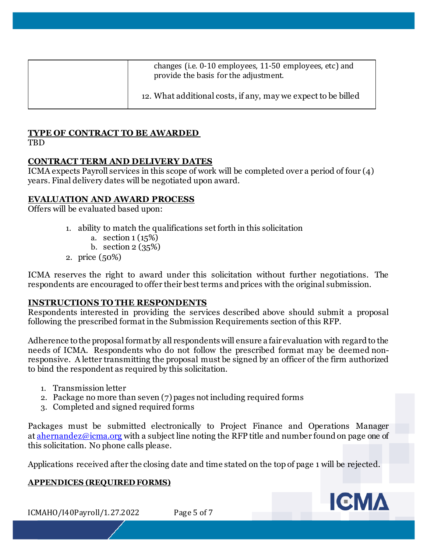| changes (i.e. 0-10 employees, 11-50 employees, etc) and<br>provide the basis for the adjustment. |
|--------------------------------------------------------------------------------------------------|
| 12. What additional costs, if any, may we expect to be billed                                    |

# **TYPE OF CONTRACT TO BE AWARDED**

**TBD** 

## **CONTRACT TERM AND DELIVERY DATES**

ICMA expects Payroll services in this scope of work will be completed over a period of four (4) years. Final delivery dates will be negotiated upon award.

## **EVALUATION AND AWARD PROCESS**

Offers will be evaluated based upon:

- 1. ability to match the qualifications set forth in this solicitation
	- a. section  $1(15%)$
	- b. section 2 (35%)
- 2. price (50%)

ICMA reserves the right to award under this solicitation without further negotiations. The respondents are encouraged to offer their best terms and prices with the original submission.

## **INSTRUCTIONS TO THE RESPONDENTS**

Respondents interested in providing the services described above should submit a proposal following the prescribed format in the Submission Requirements section of this RFP.

Adherence to the proposal format by all respondents will ensure a fair evaluation with regard to the needs of ICMA. Respondents who do not follow the prescribed format may be deemed nonresponsive. A letter transmitting the proposal must be signed by an officer of the firm authorized to bind the respondent as required by this solicitation.

- 1. Transmission letter
- 2. Package no more than seven (7) pages not including required forms
- 3. Completed and signed required forms

Packages must be submitted electronically to Project Finance and Operations Manager at [ahernandez@icma.org](mailto:ikaushansky@icma.org) with a subject line noting the RFP title and number found on page one of this solicitation. No phone calls please.

Applications received after the closing date and time stated on the top of page 1 will be rejected.

### **APPENDICES (REQUIRED FORMS)**

ICMAHO/I40Payroll/1.27.2022 Page 5 of 7

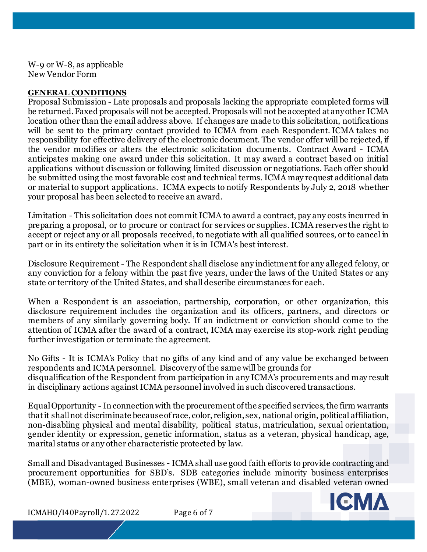W-9 or W-8, as applicable New Vendor Form

#### **GENERAL CONDITIONS**

Proposal Submission - Late proposals and proposals lacking the appropriate completed forms will be returned. Faxed proposals will not be accepted. Proposals will not be accepted at any other ICMA location other than the email address above. If changes are made to this solicitation, notifications will be sent to the primary contact provided to ICMA from each Respondent. ICMA takes no responsibility for effective delivery of the electronic document. The vendor offer will be rejected, if the vendor modifies or alters the electronic solicitation documents. Contract Award - ICMA anticipates making one award under this solicitation. It may award a contract based on initial applications without discussion or following limited discussion or negotiations. Each offer should be submitted using the most favorable cost and technical terms. ICMA may request additional data or material to support applications. ICMA expects to notify Respondents by July 2, 2018 whether your proposal has been selected to receive an award.

Limitation - This solicitation does not commit ICMA to award a contract, pay any costs incurred in preparing a proposal, or to procure or contract for services or supplies. ICMA reserves the right to accept or reject any or all proposals received, to negotiate with all qualified sources, or to cancel in part or in its entirety the solicitation when it is in ICMA's best interest.

Disclosure Requirement - The Respondent shall disclose any indictment for any alleged felony, or any conviction for a felony within the past five years, under the laws of the United States or any state or territory of the United States, and shall describe circumstances for each.

When a Respondent is an association, partnership, corporation, or other organization, this disclosure requirement includes the organization and its officers, partners, and directors or members of any similarly governing body. If an indictment or conviction should come to the attention of ICMA after the award of a contract, ICMA may exercise its stop-work right pending further investigation or terminate the agreement.

No Gifts - It is ICMA's Policy that no gifts of any kind and of any value be exchanged between respondents and ICMA personnel. Discovery of the same will be grounds for disqualification of the Respondent from participation in any ICMA's procurements and may result in disciplinary actions against ICMA personnel involved in such discovered transactions.

Equal Opportunity - In connection with the procurement of the specified services, the firm warrants that it shall not discriminate because of race, color, religion, sex, national origin, political affiliation, non-disabling physical and mental disability, political status, matriculation, sexual orientation, gender identity or expression, genetic information, status as a veteran, physical handicap, age, marital status or any other characteristic protected by law.

Small and Disadvantaged Businesses - ICMA shall use good faith efforts to provide contracting and procurement opportunities for SBD's. SDB categories include minority business enterprises (MBE), woman-owned business enterprises (WBE), small veteran and disabled veteran owned



ICMAHO/I40Payroll/1.27.2022 Page 6 of 7